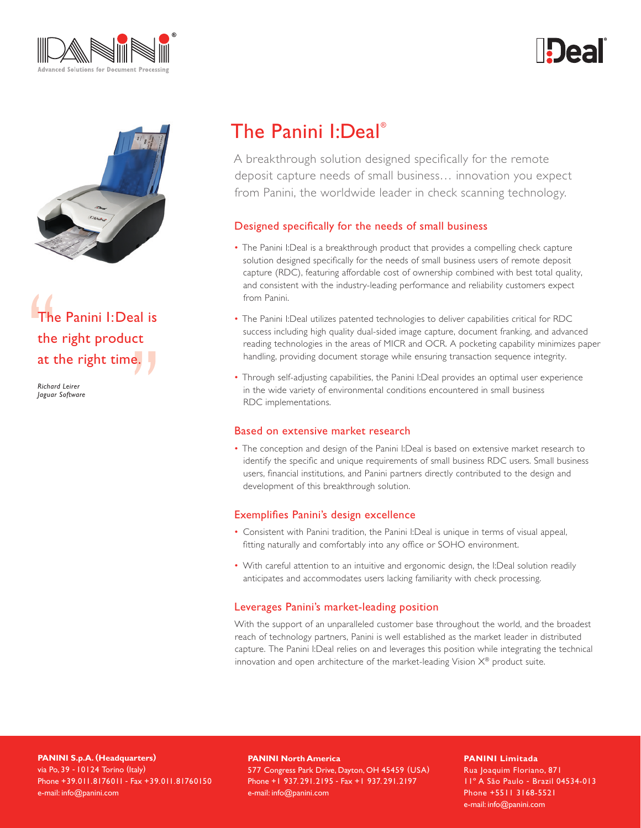





The Panini I:Deal is the right product at the right time.

*Richard Leirer Jaguar Software*

# The Panini I:Deal®

A breakthrough solution designed specifically for the remote deposit capture needs of small business… innovation you expect from Panini, the worldwide leader in check scanning technology.

## Designed specifically for the needs of small business

- The Panini I:Deal is a breakthrough product that provides a compelling check capture solution designed specifically for the needs of small business users of remote deposit capture (RDC), featuring affordable cost of ownership combined with best total quality, and consistent with the industry-leading performance and reliability customers expect from Panini.
- The Panini I:Deal utilizes patented technologies to deliver capabilities critical for RDC success including high quality dual-sided image capture, document franking, and advanced reading technologies in the areas of MICR and OCR. A pocketing capability minimizes paper handling, providing document storage while ensuring transaction sequence integrity.
- Through self-adjusting capabilities, the Panini I:Deal provides an optimal user experience in the wide variety of environmental conditions encountered in small business RDC implementations.

#### Based on extensive market research

• The conception and design of the Panini I:Deal is based on extensive market research to identify the specific and unique requirements of small business RDC users. Small business users, financial institutions, and Panini partners directly contributed to the design and development of this breakthrough solution.

#### Exemplifies Panini's design excellence

- Consistent with Panini tradition, the Panini I:Deal is unique in terms of visual appeal, fitting naturally and comfortably into any office or SOHO environment.
- With careful attention to an intuitive and ergonomic design, the I:Deal solution readily anticipates and accommodates users lacking familiarity with check processing.

## Leverages Panini's market-leading position

With the support of an unparalleled customer base throughout the world, and the broadest reach of technology partners, Panini is well established as the market leader in distributed capture. The Panini I:Deal relies on and leverages this position while integrating the technical innovation and open architecture of the market-leading Vision  $X^{\circledast}$  product suite.

**PANINI S.p.A. (Headquarters)** via Po, 39 - 10124 Torino (Italy) Phone +39.011.8176011 - Fax +39.011.81760150 e-mail: info@panini.com

**PANINI North America**

577 Congress Park Drive, Dayton, OH 45459 (USA) Phone +1 937. 291.2195 - Fax +1 937. 291.2197 e-mail: info@panini.com

**PANINI Limitada** Rua Joaquim Floriano, 871

11º A São Paulo - Brazil 04534-013 Phone +5511 3168-5521 e-mail: info@panini.com